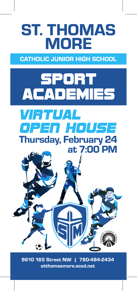# ST. THOMAS MORE

CATHOLIC JUNIOR HIGH SCHOOL



9610 165 Street NW | 780-484-2434 stthomasmore.ecsd.net